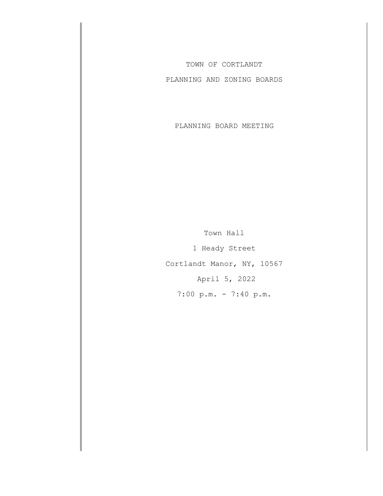TOWN OF CORTLANDT

PLANNING AND ZONING BOARDS

PLANNING BOARD MEETING

Town Hall 1 Heady Street Cortlandt Manor, NY, 10567 April 5, 2022 7:00 p.m. - 7:40 p.m.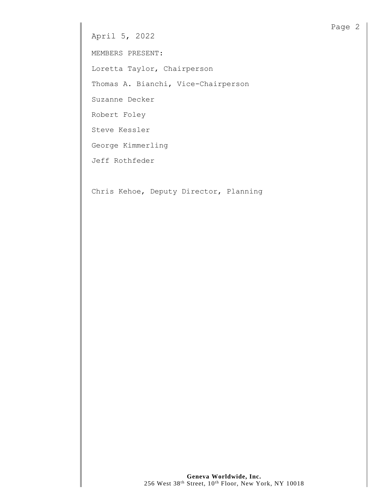MEMBERS PRESENT:

Loretta Taylor, Chairperson

Thomas A. Bianchi, Vice-Chairperson

Suzanne Decker

Robert Foley

Steve Kessler

George Kimmerling

Jeff Rothfeder

Chris Kehoe, Deputy Director, Planning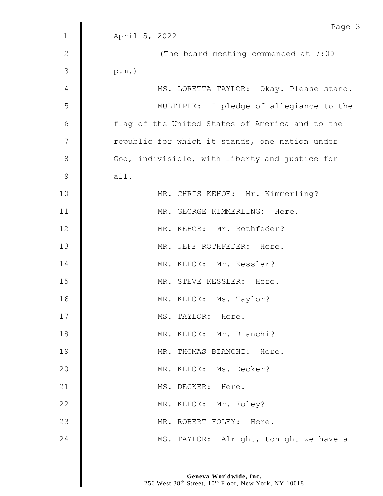|               | Page 3                                          |
|---------------|-------------------------------------------------|
| $\mathbf{1}$  | April 5, 2022                                   |
| $\mathbf{2}$  | (The board meeting commenced at 7:00            |
| 3             | $p.m.$ )                                        |
| 4             | MS. LORETTA TAYLOR: Okay. Please stand.         |
| 5             | MULTIPLE: I pledge of allegiance to the         |
| 6             | flag of the United States of America and to the |
| 7             | republic for which it stands, one nation under  |
| $\,8\,$       | God, indivisible, with liberty and justice for  |
| $\mathcal{G}$ | all.                                            |
| 10            | MR. CHRIS KEHOE: Mr. Kimmerling?                |
| 11            | MR. GEORGE KIMMERLING: Here.                    |
| 12            | MR. KEHOE: Mr. Rothfeder?                       |
| 13            | MR. JEFF ROTHFEDER: Here.                       |
| 14            | MR. KEHOE: Mr. Kessler?                         |
| 15            | MR. STEVE KESSLER: Here.                        |
| 16            | MR. KEHOE: Ms. Taylor?                          |
| 17            | MS. TAYLOR: Here.                               |
| 18            | MR. KEHOE: Mr. Bianchi?                         |
| 19            | MR. THOMAS BIANCHI: Here.                       |
| 20            | MR. KEHOE: Ms. Decker?                          |
| 21            | MS. DECKER: Here.                               |
| 22            | MR. KEHOE: Mr. Foley?                           |
| 23            | MR. ROBERT FOLEY: Here.                         |
| 24            | MS. TAYLOR: Alright, tonight we have a          |
|               |                                                 |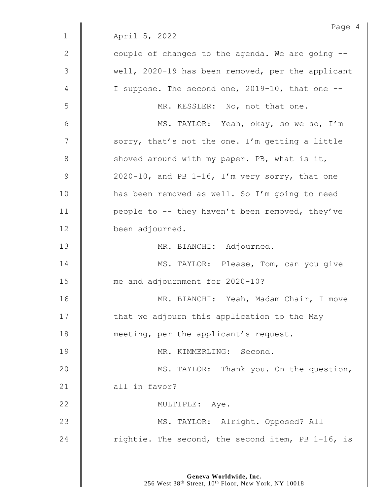|              | Page 4                                            |
|--------------|---------------------------------------------------|
| $\mathbf{1}$ | April 5, 2022                                     |
| 2            | couple of changes to the agenda. We are going --  |
| 3            | well, 2020-19 has been removed, per the applicant |
| 4            | I suppose. The second one, 2019-10, that one --   |
| 5            | MR. KESSLER: No, not that one.                    |
| 6            | MS. TAYLOR: Yeah, okay, so we so, I'm             |
| 7            | sorry, that's not the one. I'm getting a little   |
| $8\,$        | shoved around with my paper. PB, what is it,      |
| $\mathsf 9$  | 2020-10, and PB 1-16, I'm very sorry, that one    |
| 10           | has been removed as well. So I'm going to need    |
| 11           | people to -- they haven't been removed, they've   |
| 12           | been adjourned.                                   |
| 13           | MR. BIANCHI: Adjourned.                           |
| 14           | MS. TAYLOR: Please, Tom, can you give             |
| 15           | me and adjournment for 2020-10?                   |
| 16           | MR. BIANCHI: Yeah, Madam Chair, I move            |
| 17           | that we adjourn this application to the May       |
| 18           | meeting, per the applicant's request.             |
| 19           | MR. KIMMERLING: Second.                           |
| 20           | MS. TAYLOR: Thank you. On the question,           |
| 21           | all in favor?                                     |
| 22           | MULTIPLE: Aye.                                    |
| 23           | MS. TAYLOR: Alright. Opposed? All                 |
| 24           | rightie. The second, the second item, PB 1-16, is |
|              |                                                   |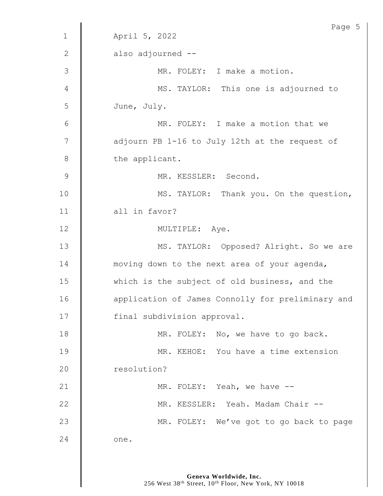| Page 5                                            |
|---------------------------------------------------|
| April 5, 2022                                     |
| also adjourned --                                 |
| MR. FOLEY: I make a motion.                       |
| MS. TAYLOR: This one is adjourned to              |
| June, July.                                       |
| MR. FOLEY: I make a motion that we                |
| adjourn PB 1-16 to July 12th at the request of    |
| the applicant.                                    |
| MR. KESSLER: Second.                              |
| MS. TAYLOR: Thank you. On the question,           |
| all in favor?                                     |
| MULTIPLE: Aye.                                    |
| MS. TAYLOR: Opposed? Alright. So we are           |
| moving down to the next area of your agenda,      |
| which is the subject of old business, and the     |
| application of James Connolly for preliminary and |
| final subdivision approval.                       |
| MR. FOLEY: No, we have to go back.                |
| MR. KEHOE: You have a time extension              |
| resolution?                                       |
| MR. FOLEY: Yeah, we have --                       |
| MR. KESSLER: Yeah. Madam Chair --                 |
| MR. FOLEY: We've got to go back to page           |
| one.                                              |
|                                                   |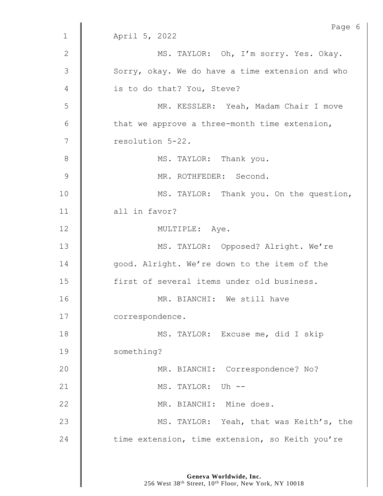|               | Page 6                                           |
|---------------|--------------------------------------------------|
| $\mathbf 1$   | April 5, 2022                                    |
| $\mathbf{2}$  | MS. TAYLOR: Oh, I'm sorry. Yes. Okay.            |
| 3             | Sorry, okay. We do have a time extension and who |
| 4             | is to do that? You, Steve?                       |
| 5             | MR. KESSLER: Yeah, Madam Chair I move            |
| 6             | that we approve a three-month time extension,    |
| 7             | resolution 5-22.                                 |
| 8             | MS. TAYLOR: Thank you.                           |
| $\mathcal{G}$ | MR. ROTHFEDER: Second.                           |
| 10            | MS. TAYLOR: Thank you. On the question,          |
| 11            | all in favor?                                    |
| 12            | MULTIPLE: Aye.                                   |
| 13            | MS. TAYLOR: Opposed? Alright. We're              |
| 14            | good. Alright. We're down to the item of the     |
| 15            | first of several items under old business.       |
| 16            | MR. BIANCHI: We still have                       |
| 17            | correspondence.                                  |
| 18            | MS. TAYLOR: Excuse me, did I skip                |
| 19            | something?                                       |
| 20            | MR. BIANCHI: Correspondence? No?                 |
| 21            | MS. TAYLOR: Uh --                                |
| 22            | MR. BIANCHI: Mine does.                          |
| 23            | MS. TAYLOR: Yeah, that was Keith's, the          |
| 24            | time extension, time extension, so Keith you're  |
|               |                                                  |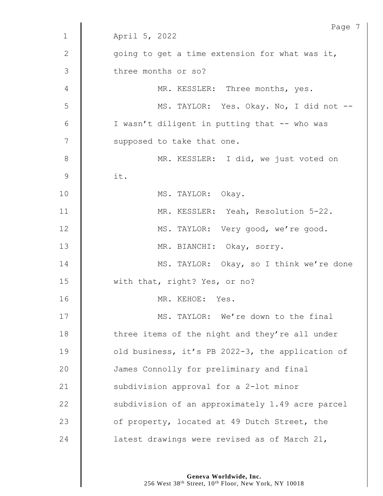|             | Page 7                                           |
|-------------|--------------------------------------------------|
| $\mathbf 1$ | April 5, 2022                                    |
| 2           | going to get a time extension for what was it,   |
| 3           | three months or so?                              |
| 4           | MR. KESSLER: Three months, yes.                  |
| 5           | MS. TAYLOR: Yes. Okay. No, I did not --          |
| 6           | I wasn't diligent in putting that -- who was     |
| 7           | supposed to take that one.                       |
| $8\,$       | MR. KESSLER: I did, we just voted on             |
| 9           | it.                                              |
| 10          | MS. TAYLOR: Okay.                                |
| 11          | MR. KESSLER: Yeah, Resolution 5-22.              |
| 12          | MS. TAYLOR: Very good, we're good.               |
| 13          | MR. BIANCHI: Okay, sorry.                        |
| 14          | MS. TAYLOR: Okay, so I think we're done          |
| 15          | with that, right? Yes, or no?                    |
| 16          | MR. KEHOE: Yes.                                  |
| 17          | MS. TAYLOR: We're down to the final              |
| 18          | three items of the night and they're all under   |
| 19          | old business, it's PB 2022-3, the application of |
| 20          | James Connolly for preliminary and final         |
| 21          | subdivision approval for a 2-lot minor           |
| 22          | subdivision of an approximately 1.49 acre parcel |
| 23          | of property, located at 49 Dutch Street, the     |
| 24          | latest drawings were revised as of March 21,     |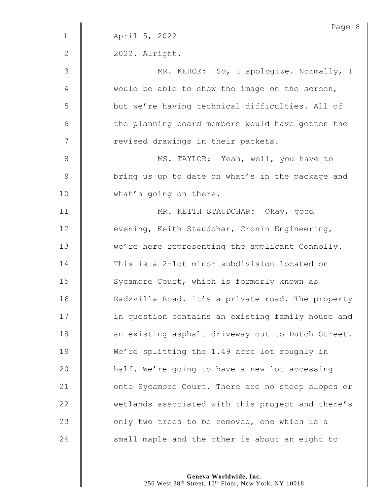|               | Page 8                                            |
|---------------|---------------------------------------------------|
| $\mathbf{1}$  | April 5, 2022                                     |
| $\mathbf{2}$  | 2022. Alright.                                    |
| $\mathcal{S}$ | MR. KEHOE: So, I apologize. Normally, I           |
| 4             | would be able to show the image on the screen,    |
| 5             | but we're having technical difficulties. All of   |
| 6             | the planning board members would have gotten the  |
| 7             | revised drawings in their packets.                |
| $8\,$         | MS. TAYLOR: Yeah, well, you have to               |
| $\mathsf 9$   | bring us up to date on what's in the package and  |
| 10            | what's going on there.                            |
| 11            | MR. KEITH STAUDOHAR: Okay, good                   |
| 12            | evening, Keith Staudohar, Cronin Engineering,     |
| 13            | we're here representing the applicant Connolly.   |
| 14            | This is a 2-lot minor subdivision located on      |
| 15            | Sycamore Court, which is formerly known as        |
| 16            | Radzvilla Road. It's a private road. The property |
| 17            | in question contains an existing family house and |
| 18            | an existing asphalt driveway out to Dutch Street. |
| 19            | We're splitting the 1.49 acre lot roughly in      |
| 20            | half. We're going to have a new lot accessing     |
| 21            | onto Sycamore Court. There are no steep slopes or |
| 22            | wetlands associated with this project and there's |
| 23            | only two trees to be removed, one which is a      |
| 24            | small maple and the other is about an eight to    |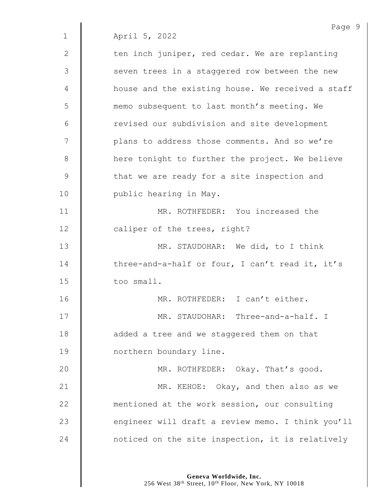| $\mathbf{2}$ | ten inch juniper, red cedar. We are replanting    |
|--------------|---------------------------------------------------|
| 3            | seven trees in a staggered row between the new    |
| 4            | house and the existing house. We received a staff |
| 5            | memo subsequent to last month's meeting. We       |
| 6            | revised our subdivision and site development      |
| 7            | plans to address those comments. And so we're     |
| $8\,$        | here tonight to further the project. We believe   |
| $\mathsf 9$  | that we are ready for a site inspection and       |
| 10           | public hearing in May.                            |
| 11           | MR. ROTHFEDER: You increased the                  |
| 12           | caliper of the trees, right?                      |
| 13           | MR. STAUDOHAR: We did, to I think                 |
| 14           | three-and-a-half or four, I can't read it, it's   |
| 15           | too small.                                        |
| 16           | MR. ROTHFEDER: I can't either.                    |
| 17           | MR. STAUDOHAR: Three-and-a-half. I                |
| 18           | added a tree and we staggered them on that        |
| 19           | northern boundary line.                           |
| 20           | MR. ROTHFEDER: Okay. That's good.                 |
| 21           | MR. KEHOE: Okay, and then also as we              |
| 22           | mentioned at the work session, our consulting     |
| 23           | engineer will draft a review memo. I think you'll |
| 24           | noticed on the site inspection, it is relatively  |

**Geneva Worldwide, Inc.** 256 West 38th Street, 10th Floor, New York, NY 10018 Page 9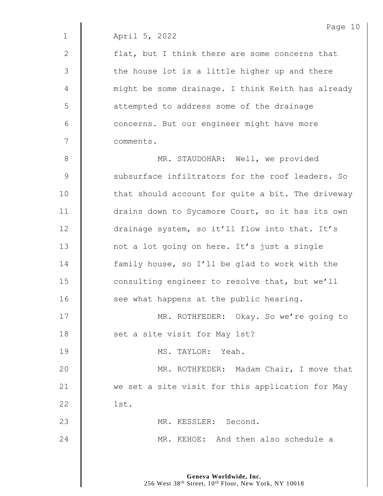2  $\parallel$  flat, but I think there are some concerns that  $3 \parallel$  the house lot is a little higher up and there 4 | might be some drainage. I think Keith has already 5 | attempted to address some of the drainage 6 | concerns. But our engineer might have more 7 comments.

8 **MR. STAUDOHAR:** Well, we provided 9 Subsurface infiltrators for the roof leaders. So  $10$  | that should account for quite a bit. The driveway 11 | drains down to Sycamore Court, so it has its own 12 drainage system, so it'll flow into that. It's 13 | not a lot going on here. It's just a single 14 | family house, so I'll be glad to work with the 15 **consulting engineer to resolve that, but we'll**  $16$   $\parallel$  see what happens at the public hearing. 17 | MR. ROTHFEDER: Okay. So we're going to

18 | set a site visit for May 1st?

19 MS. TAYLOR: Yeah.

20 **MR. ROTHFEDER:** Madam Chair, I move that 21 We set a site visit for this application for May  $22 \parallel$  1st.

23 MR. KESSLER: Second.

24 MR. KEHOE: And then also schedule a

**Geneva Worldwide, Inc.** 256 West 38<sup>th</sup> Street, 10<sup>th</sup> Floor, New York, NY 10018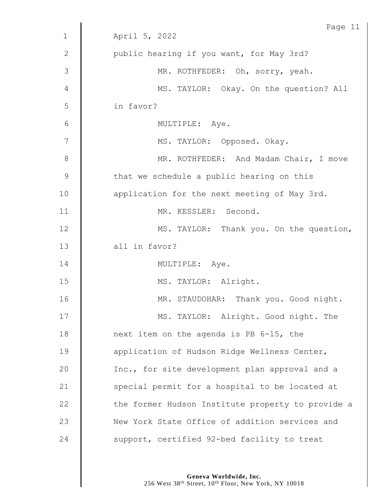|               | Page 11                                           |
|---------------|---------------------------------------------------|
| $\mathbf 1$   | April 5, 2022                                     |
| $\mathbf{2}$  | public hearing if you want, for May 3rd?          |
| $\mathcal{S}$ | MR. ROTHFEDER: Oh, sorry, yeah.                   |
| 4             | MS. TAYLOR: Okay. On the question? All            |
| 5             | in favor?                                         |
| 6             | MULTIPLE: Aye.                                    |
| 7             | MS. TAYLOR: Opposed. Okay.                        |
| 8             | MR. ROTHFEDER: And Madam Chair, I move            |
| $\mathcal{G}$ | that we schedule a public hearing on this         |
| 10            | application for the next meeting of May 3rd.      |
| 11            | MR. KESSLER: Second.                              |
| 12            | MS. TAYLOR: Thank you. On the question,           |
| 13            | all in favor?                                     |
| 14            | MULTIPLE: Aye.                                    |
| 15            | MS. TAYLOR: Alright.                              |
| 16            | MR. STAUDOHAR: Thank you. Good night.             |
| 17            | MS. TAYLOR: Alright. Good night. The              |
| 18            | next item on the agenda is PB 6-15, the           |
| 19            | application of Hudson Ridge Wellness Center,      |
| 20            | Inc., for site development plan approval and a    |
| 21            | special permit for a hospital to be located at    |
| 22            | the former Hudson Institute property to provide a |
| 23            | New York State Office of addition services and    |
| 24            | support, certified 92-bed facility to treat       |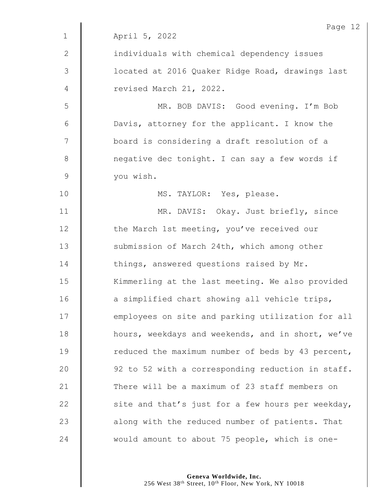|               | Page 12                                           |
|---------------|---------------------------------------------------|
| $\mathbf 1$   | April 5, 2022                                     |
| $\mathbf{2}$  | individuals with chemical dependency issues       |
| $\mathcal{S}$ | located at 2016 Quaker Ridge Road, drawings last  |
| 4             | revised March 21, 2022.                           |
| 5             | MR. BOB DAVIS: Good evening. I'm Bob              |
| 6             | Davis, attorney for the applicant. I know the     |
| 7             | board is considering a draft resolution of a      |
| $8\,$         | negative dec tonight. I can say a few words if    |
| $\mathsf 9$   | you wish.                                         |
| 10            | MS. TAYLOR: Yes, please.                          |
| 11            | MR. DAVIS: Okay. Just briefly, since              |
| 12            | the March 1st meeting, you've received our        |
| 13            | submission of March 24th, which among other       |
| 14            | things, answered questions raised by Mr.          |
| 15            | Kimmerling at the last meeting. We also provided  |
| 16            | a simplified chart showing all vehicle trips,     |
| 17            | employees on site and parking utilization for all |
| 18            | hours, weekdays and weekends, and in short, we've |
| 19            | reduced the maximum number of beds by 43 percent, |
| 20            | 92 to 52 with a corresponding reduction in staff. |
| 21            | There will be a maximum of 23 staff members on    |
| 22            | site and that's just for a few hours per weekday, |
| 23            | along with the reduced number of patients. That   |
| 24            | would amount to about 75 people, which is one-    |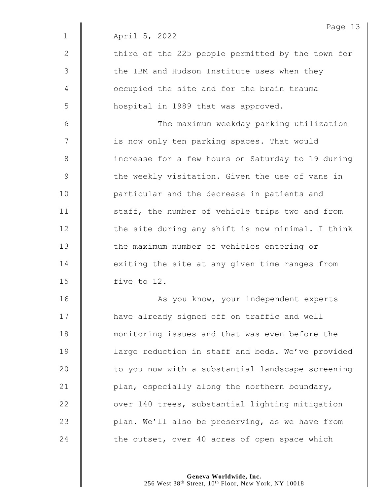|              | Page 13                                           |
|--------------|---------------------------------------------------|
| $\mathbf{1}$ | April 5, 2022                                     |
| $\mathbf{2}$ | third of the 225 people permitted by the town for |
| 3            | the IBM and Hudson Institute uses when they       |
| 4            | occupied the site and for the brain trauma        |
| 5            | hospital in 1989 that was approved.               |
| 6            | The maximum weekday parking utilization           |
| 7            | is now only ten parking spaces. That would        |
| $8\,$        | increase for a few hours on Saturday to 19 during |
| 9            | the weekly visitation. Given the use of vans in   |
| 10           | particular and the decrease in patients and       |
| 11           | staff, the number of vehicle trips two and from   |
| 12           | the site during any shift is now minimal. I think |
| 13           | the maximum number of vehicles entering or        |
| 14           | exiting the site at any given time ranges from    |
| 15           | five to 12.                                       |
| 16           | As you know, your independent experts             |
| 17           | have already signed off on traffic and well       |
| 18           | monitoring issues and that was even before the    |
| 19           | large reduction in staff and beds. We've provided |
| 20           | to you now with a substantial landscape screening |
| 21           | plan, especially along the northern boundary,     |
| 22           | over 140 trees, substantial lighting mitigation   |
| 23           | plan. We'll also be preserving, as we have from   |
| 24           | the outset, over 40 acres of open space which     |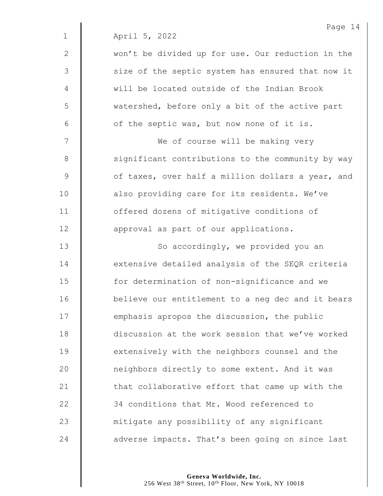|              | Page 14                                           |
|--------------|---------------------------------------------------|
| $\mathbf{1}$ | April 5, 2022                                     |
| $\mathbf{2}$ | won't be divided up for use. Our reduction in the |
| 3            | size of the septic system has ensured that now it |
| 4            | will be located outside of the Indian Brook       |
| 5            | watershed, before only a bit of the active part   |
| 6            | of the septic was, but now none of it is.         |
| 7            | We of course will be making very                  |
| $8\,$        | significant contributions to the community by way |
| 9            | of taxes, over half a million dollars a year, and |
| 10           | also providing care for its residents. We've      |
| 11           | offered dozens of mitigative conditions of        |
| 12           | approval as part of our applications.             |
| 13           | So accordingly, we provided you an                |
| 14           | extensive detailed analysis of the SEQR criteria  |
| 15           | for determination of non-significance and we      |
| 16           | believe our entitlement to a neg dec and it bears |
| 17           | emphasis apropos the discussion, the public       |
| 18           | discussion at the work session that we've worked  |
| 19           | extensively with the neighbors counsel and the    |
| 20           | neighbors directly to some extent. And it was     |
| 21           | that collaborative effort that came up with the   |
| 22           | 34 conditions that Mr. Wood referenced to         |
| 23           | mitigate any possibility of any significant       |
| 24           | adverse impacts. That's been going on since last  |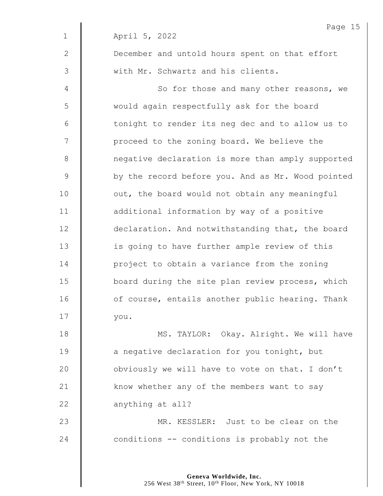|              | Page 15                                           |
|--------------|---------------------------------------------------|
| $\mathbf{1}$ | April 5, 2022                                     |
| 2            | December and untold hours spent on that effort    |
| 3            | with Mr. Schwartz and his clients.                |
| 4            | So for those and many other reasons, we           |
| 5            | would again respectfully ask for the board        |
| 6            | tonight to render its neg dec and to allow us to  |
| 7            | proceed to the zoning board. We believe the       |
| $8\,$        | negative declaration is more than amply supported |
| $\mathsf 9$  | by the record before you. And as Mr. Wood pointed |
| 10           | out, the board would not obtain any meaningful    |
| 11           | additional information by way of a positive       |
| 12           | declaration. And notwithstanding that, the board  |
| 13           | is going to have further ample review of this     |
| 14           | project to obtain a variance from the zoning      |
| 15           | board during the site plan review process, which  |
| 16           | of course, entails another public hearing. Thank  |
| 17           | you.                                              |
| 18           | MS. TAYLOR: Okay. Alright. We will have           |
| 19           | a negative declaration for you tonight, but       |
| 20           | obviously we will have to vote on that. I don't   |
| 21           | know whether any of the members want to say       |
| 22           | anything at all?                                  |
| 23           | MR. KESSLER: Just to be clear on the              |
| 24           | conditions -- conditions is probably not the      |
|              |                                                   |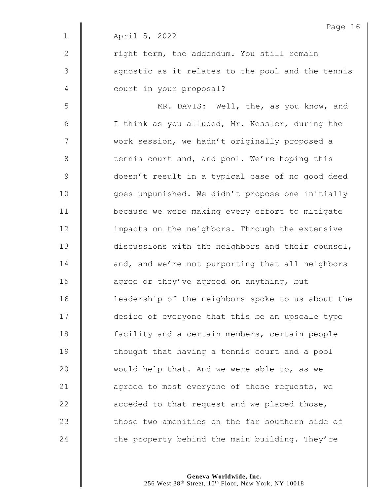Page 16 1 April 5, 2022 2 | right term, the addendum. You still remain 3 || agnostic as it relates to the pool and the tennis 4 | court in your proposal? 5 || MR. DAVIS: Well, the, as you know, and 6 | I think as you alluded, Mr. Kessler, during the 7 | work session, we hadn't originally proposed a 8 tennis court and, and pool. We're hoping this 9 doesn't result in a typical case of no good deed 10 | qoes unpunished. We didn't propose one initially 11 **because we were making every effort to mitigate** 12 **impacts on the neighbors. Through the extensive** 13 discussions with the neighbors and their counsel, 14 **d** and, and we're not purporting that all neighbors 15  $\parallel$  agree or they've agreed on anything, but 16 | leadership of the neighbors spoke to us about the 17 **desire of everyone that this be an upscale type** 18 **facility and a certain members, certain people**  $19$   $\parallel$  thought that having a tennis court and a pool 20  $\parallel$  would help that. And we were able to, as we 21 **d** agreed to most everyone of those requests, we 22  $\parallel$  acceded to that request and we placed those, 23 | those two amenities on the far southern side of 24  $\parallel$  the property behind the main building. They're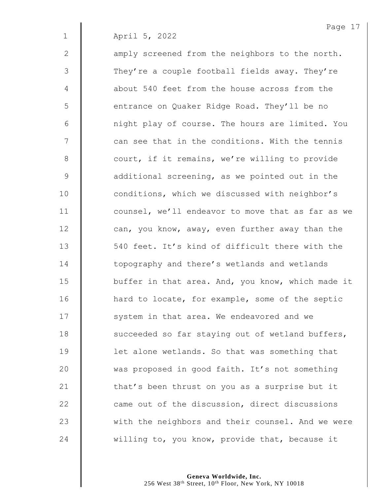Page 17

| 2           |                                                   |
|-------------|---------------------------------------------------|
|             | amply screened from the neighbors to the north.   |
| 3           | They're a couple football fields away. They're    |
| 4           | about 540 feet from the house across from the     |
| 5           | entrance on Quaker Ridge Road. They'll be no      |
| 6           | night play of course. The hours are limited. You  |
| 7           | can see that in the conditions. With the tennis   |
| 8           | court, if it remains, we're willing to provide    |
| $\mathsf 9$ | additional screening, as we pointed out in the    |
| 10          | conditions, which we discussed with neighbor's    |
| 11          | counsel, we'll endeavor to move that as far as we |
| 12          | can, you know, away, even further away than the   |
| 13          | 540 feet. It's kind of difficult there with the   |
| 14          | topography and there's wetlands and wetlands      |
| 15          | buffer in that area. And, you know, which made it |
| 16          | hard to locate, for example, some of the septic   |
| 17          | system in that area. We endeavored and we         |
| 18          | succeeded so far staying out of wetland buffers,  |
| 19          | let alone wetlands. So that was something that    |
| 20          | was proposed in good faith. It's not something    |
| 21          | that's been thrust on you as a surprise but it    |
| 22          | came out of the discussion, direct discussions    |
| 23          | with the neighbors and their counsel. And we were |
| 24          | willing to, you know, provide that, because it    |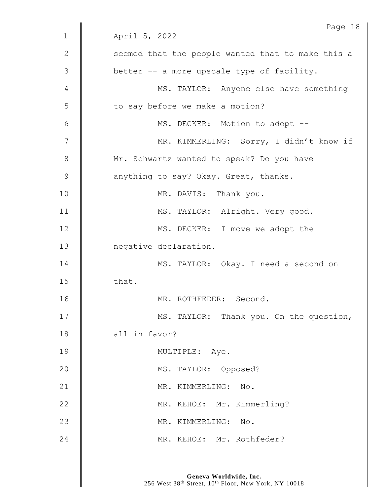|               | Page 18                                           |
|---------------|---------------------------------------------------|
| $\mathbf 1$   | April 5, 2022                                     |
| $\mathbf{2}$  | seemed that the people wanted that to make this a |
| 3             | better -- a more upscale type of facility.        |
| 4             | MS. TAYLOR: Anyone else have something            |
| 5             | to say before we make a motion?                   |
| 6             | MS. DECKER: Motion to adopt --                    |
| 7             | MR. KIMMERLING: Sorry, I didn't know if           |
| 8             | Mr. Schwartz wanted to speak? Do you have         |
| $\mathcal{G}$ | anything to say? Okay. Great, thanks.             |
| 10            | MR. DAVIS: Thank you.                             |
| 11            | MS. TAYLOR: Alright. Very good.                   |
| 12            | MS. DECKER: I move we adopt the                   |
| 13            | negative declaration.                             |
| 14            | MS. TAYLOR: Okay. I need a second on              |
| 15            | that.                                             |
| 16            | MR. ROTHFEDER: Second.                            |
| 17            | MS. TAYLOR: Thank you. On the question,           |
| 18            | all in favor?                                     |
| 19            | MULTIPLE: Aye.                                    |
| 20            | MS. TAYLOR: Opposed?                              |
| 21            | MR. KIMMERLING: No.                               |
| 22            | MR. KEHOE: Mr. Kimmerling?                        |
| 23            | MR. KIMMERLING: No.                               |
| 24            | MR. KEHOE: Mr. Rothfeder?                         |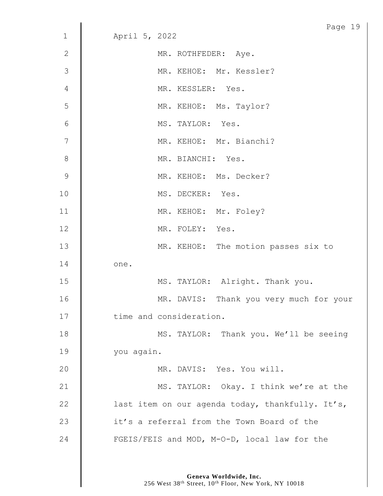|                | Page 19                                          |  |
|----------------|--------------------------------------------------|--|
| $\mathbf 1$    | April 5, 2022                                    |  |
| $\mathbf{2}$   | MR. ROTHFEDER: Aye.                              |  |
| 3              | MR. KEHOE: Mr. Kessler?                          |  |
| $\overline{4}$ | MR. KESSLER: Yes.                                |  |
| 5              | MR. KEHOE: Ms. Taylor?                           |  |
| $6\,$          | MS. TAYLOR: Yes.                                 |  |
| $\overline{7}$ | MR. KEHOE: Mr. Bianchi?                          |  |
| $\,8\,$        | MR. BIANCHI: Yes.                                |  |
| $\overline{9}$ | MR. KEHOE: Ms. Decker?                           |  |
| 10             | MS. DECKER: Yes.                                 |  |
| 11             | MR. KEHOE: Mr. Foley?                            |  |
| 12             | MR. FOLEY: Yes.                                  |  |
| 13             | MR. KEHOE: The motion passes six to              |  |
| 14             | one.                                             |  |
| 15             | MS. TAYLOR: Alright. Thank you.                  |  |
| 16             | MR. DAVIS: Thank you very much for your          |  |
| 17             | time and consideration.                          |  |
| 18             | MS. TAYLOR: Thank you. We'll be seeing           |  |
| 19             | you again.                                       |  |
| 20             | MR. DAVIS: Yes. You will.                        |  |
| 21             | MS. TAYLOR: Okay. I think we're at the           |  |
| 22             | last item on our agenda today, thankfully. It's, |  |
| 23             | it's a referral from the Town Board of the       |  |
| 24             | FGEIS/FEIS and MOD, M-O-D, local law for the     |  |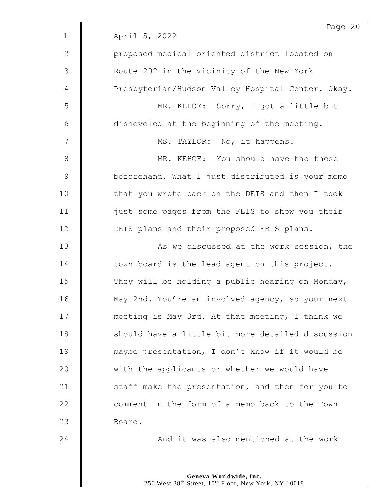|                | Page 20                                           |
|----------------|---------------------------------------------------|
| $\mathbf 1$    | April 5, 2022                                     |
| $\mathbf{2}$   | proposed medical oriented district located on     |
| $\mathfrak{Z}$ | Route 202 in the vicinity of the New York         |
| 4              | Presbyterian/Hudson Valley Hospital Center. Okay. |
| 5              | MR. KEHOE: Sorry, I got a little bit              |
| $\epsilon$     | disheveled at the beginning of the meeting.       |
| 7              | MS. TAYLOR: No, it happens.                       |
| $\,8\,$        | MR. KEHOE: You should have had those              |
| $\mathsf 9$    | beforehand. What I just distributed is your memo  |
| 10             | that you wrote back on the DEIS and then I took   |
| 11             | just some pages from the FEIS to show you their   |
| 12             | DEIS plans and their proposed FEIS plans.         |
| 13             | As we discussed at the work session, the          |
| 14             | town board is the lead agent on this project.     |
| 15             | They will be holding a public hearing on Monday,  |
| 16             | May 2nd. You're an involved agency, so your next  |
| 17             | meeting is May 3rd. At that meeting, I think we   |
| 18             | should have a little bit more detailed discussion |
| 19             | maybe presentation, I don't know if it would be   |
| 20             | with the applicants or whether we would have      |
| 21             | staff make the presentation, and then for you to  |
| 22             | comment in the form of a memo back to the Town    |
| 23             | Board.                                            |
| 24             | And it was also mentioned at the work             |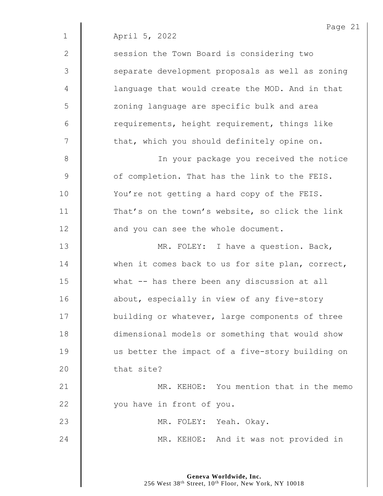|              | Page 21                                          |
|--------------|--------------------------------------------------|
| $\mathbf 1$  | April 5, 2022                                    |
| $\mathbf{2}$ | session the Town Board is considering two        |
| 3            | separate development proposals as well as zoning |
| 4            | language that would create the MOD. And in that  |
| 5            | zoning language are specific bulk and area       |
| 6            | requirements, height requirement, things like    |
| 7            | that, which you should definitely opine on.      |
| $8\,$        | In your package you received the notice          |
| $\mathsf 9$  | of completion. That has the link to the FEIS.    |
| 10           | You're not getting a hard copy of the FEIS.      |
| 11           | That's on the town's website, so click the link  |
| 12           | and you can see the whole document.              |
| 13           | MR. FOLEY: I have a question. Back,              |
| 14           | when it comes back to us for site plan, correct, |
| 15           | what -- has there been any discussion at all     |
| 16           | about, especially in view of any five-story      |
| 17           | building or whatever, large components of three  |
| 18           | dimensional models or something that would show  |
| 19           | us better the impact of a five-story building on |
| 20           | that site?                                       |
| 21           | MR. KEHOE: You mention that in the memo          |
| 22           | you have in front of you.                        |
| 23           | MR. FOLEY: Yeah. Okay.                           |
| 24           | MR. KEHOE: And it was not provided in            |
|              |                                                  |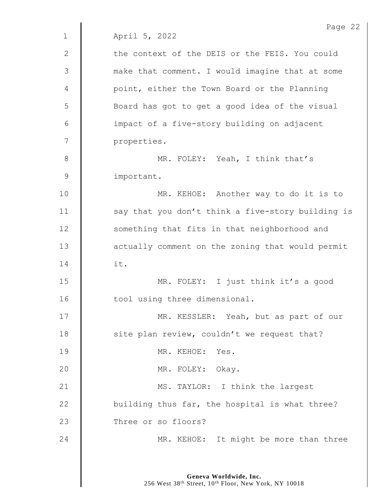Page 22 1 April 5, 2022 2  $\parallel$  the context of the DEIS or the FEIS. You could 3 || make that comment. I would imagine that at some 4 | point, either the Town Board or the Planning 5 | Board has got to get a good idea of the visual 6 | impact of a five-story building on adjacent 7 | properties. 8 **MR. FOLEY:** Yeah, I think that's 9 | important. 10 | MR. KEHOE: Another way to do it is to 11  $\parallel$  say that you don't think a five-story building is 12 | something that fits in that neighborhood and 13 **deg is actually comment on the zoning that would permit**  $14$   $\parallel$  it. 15 MR. FOLEY: I just think it's a good 16 | tool using three dimensional. 17 | MR. KESSLER: Yeah, but as part of our 18 | site plan review, couldn't we request that? 19 MR. KEHOE: Yes. 20 MR. FOLEY: Okay. 21 | MS. TAYLOR: I think the largest 22  $\parallel$  building thus far, the hospital is what three? 23 Three or so floors? 24 **MR. KEHOE:** It might be more than three

> **Geneva Worldwide, Inc.** 256 West 38<sup>th</sup> Street, 10<sup>th</sup> Floor, New York, NY 10018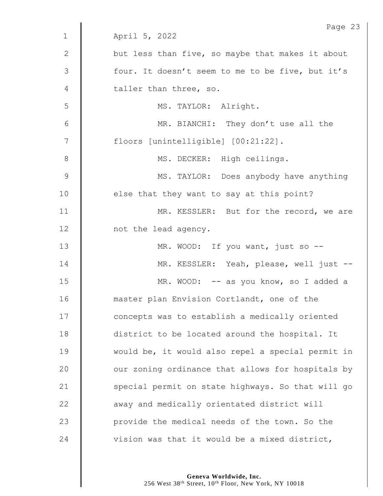|               | Page 23                                           |
|---------------|---------------------------------------------------|
| $\mathbf 1$   | April 5, 2022                                     |
| 2             | but less than five, so maybe that makes it about  |
| 3             | four. It doesn't seem to me to be five, but it's  |
| 4             | taller than three, so.                            |
| 5             | MS. TAYLOR: Alright.                              |
| 6             | MR. BIANCHI: They don't use all the               |
| 7             | floors [unintelligible] [00:21:22].               |
| $8\,$         | MS. DECKER: High ceilings.                        |
| $\mathcal{G}$ | MS. TAYLOR: Does anybody have anything            |
| 10            | else that they want to say at this point?         |
| 11            | MR. KESSLER: But for the record, we are           |
| 12            | not the lead agency.                              |
| 13            | MR. WOOD: If you want, just so --                 |
| 14            | MR. KESSLER: Yeah, please, well just --           |
| 15            | MR. WOOD: -- as you know, so I added a            |
| 16            | master plan Envision Cortlandt, one of the        |
| 17            | concepts was to establish a medically oriented    |
| 18            | district to be located around the hospital. It    |
| 19            | would be, it would also repel a special permit in |
| 20            | our zoning ordinance that allows for hospitals by |
| 21            | special permit on state highways. So that will go |
| 22            | away and medically orientated district will       |
| 23            | provide the medical needs of the town. So the     |
|               |                                                   |
| 24            | vision was that it would be a mixed district,     |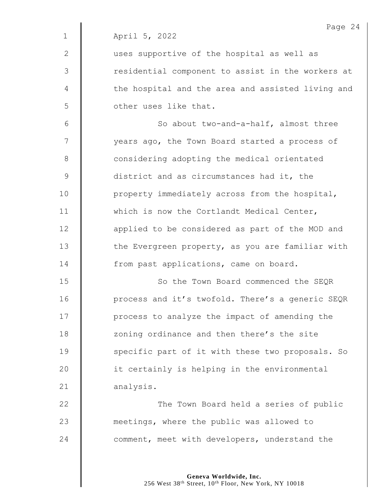2 || uses supportive of the hospital as well as 3 | Tesidential component to assist in the workers at 4 | the hospital and the area and assisted living and 5 **J** other uses like that.

6 || So about two-and-a-half, almost three 7 | vears ago, the Town Board started a process of 8 **Considering adopting the medical orientated** 9 district and as circumstances had it, the 10 | property immediately across from the hospital, 11 Which is now the Cortlandt Medical Center, 12 | applied to be considered as part of the MOD and 13  $\parallel$  the Evergreen property, as you are familiar with 14 **from past applications, came on board.** 

15 **So the Town Board commenced the SEOR** 16 | process and it's twofold. There's a generic SEQR 17 | process to analyze the impact of amending the 18 **I** zoning ordinance and then there's the site 19 Specific part of it with these two proposals. So 20 | it certainly is helping in the environmental 21 analysis.

22 **The Town Board held a series of public** 23 **M** meetings, where the public was allowed to 24 **comment, meet with developers, understand the**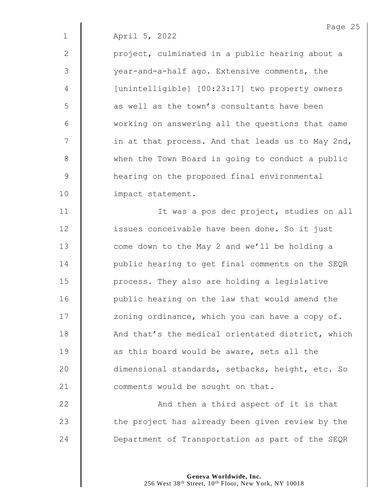2 | project, culminated in a public hearing about a 3 | vear-and-a-half ago. Extensive comments, the 4 | [unintelligible] [00:23:17] two property owners 5 **6** as well as the town's consultants have been 6 | working on answering all the questions that came  $7$   $\parallel$  in at that process. And that leads us to May 2nd, 8 When the Town Board is going to conduct a public 9 | hearing on the proposed final environmental 10 | impact statement.

11 | it was a pos dec project, studies on all 12 **issues conceivable have been done. So it just** 13 **I** come down to the May 2 and we'll be holding a 14 | public hearing to get final comments on the SEQR 15 | process. They also are holding a legislative 16 | public hearing on the law that would amend the 17 | zoning ordinance, which you can have a copy of. 18 | And that's the medical orientated district, which 19 **as this board would be aware, sets all the** 20 dimensional standards, setbacks, height, etc. So 21 **d** comments would be sought on that.

22 | And then a third aspect of it is that  $23$   $\parallel$  the project has already been given review by the 24 **Department of Transportation as part of the SEQR**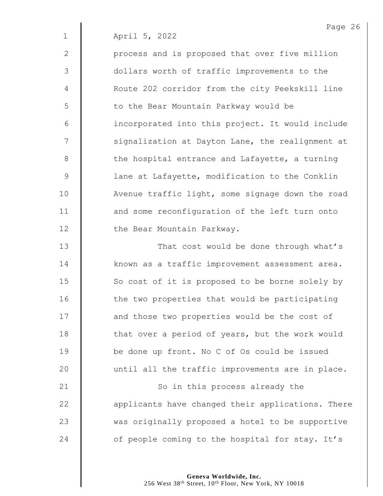2 | process and is proposed that over five million 3 || dollars worth of traffic improvements to the 4 | Route 202 corridor from the city Peekskill line 5 | to the Bear Mountain Parkway would be 6 | incorporated into this project. It would include  $7 \parallel$  signalization at Dayton Lane, the realignment at  $8$   $\parallel$  the hospital entrance and Lafayette, a turning 9 | lane at Lafayette, modification to the Conklin 10 | Avenue traffic light, some signage down the road 11 **and some reconfiguration of the left turn onto** 12 | the Bear Mountain Parkway.

13 **That cost would be done through what's** 14 | known as a traffic improvement assessment area. 15 So cost of it is proposed to be borne solely by 16 | the two properties that would be participating 17 **and those two properties would be the cost of** 18 **that over a period of years, but the work would** 19 **be done up front.** No C of Os could be issued  $20$  | until all the traffic improvements are in place. 21 | So in this process already the 22 **deg** applicants have changed their applications. There 23 Wed as originally proposed a hotel to be supportive 24 **c** of people coming to the hospital for stay. It's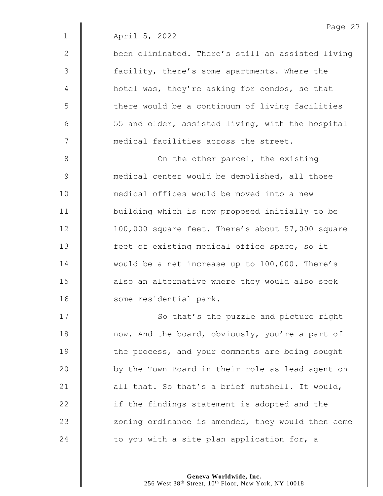2 | been eliminated. There's still an assisted living 3 | facility, there's some apartments. Where the 4 | hotel was, they're asking for condos, so that 5 || there would be a continuum of living facilities  $6 \parallel$  55 and older, assisted living, with the hospital 7 **M** medical facilities across the street.

**||** On the other parcel, the existing **Manuform** medical center would be demolished, all those medical offices would be moved into a new **building which is now proposed initially to be** 12 | 100,000 square feet. There's about 57,000 square **decial feet of existing medical office space, so it Would be a net increase up to 100,000.** There's 15 | also an alternative where they would also seek 16 | some residential park.

17 | So that's the puzzle and picture right **now.** And the board, obviously, you're a part of **the process, and your comments are being sought** 20 | by the Town Board in their role as lead agent on  $\parallel$  all that. So that's a brief nutshell. It would,  $\parallel$  if the findings statement is adopted and the 23 | zoning ordinance is amended, they would then come  $\parallel$  to you with a site plan application for, a

**Geneva Worldwide, Inc.**

256 West 38th Street, 10th Floor, New York, NY 10018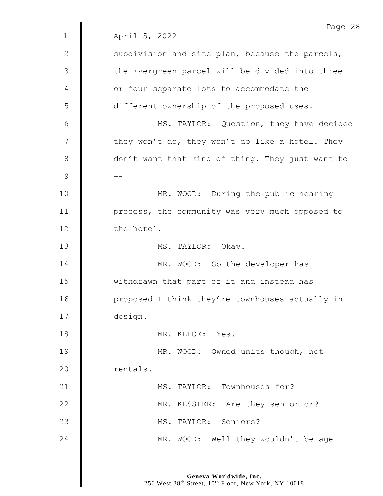|                | Page 28                                          |
|----------------|--------------------------------------------------|
| $\mathbf 1$    | April 5, 2022                                    |
| 2              | subdivision and site plan, because the parcels,  |
| $\mathfrak{Z}$ | the Evergreen parcel will be divided into three  |
| 4              | or four separate lots to accommodate the         |
| 5              | different ownership of the proposed uses.        |
| 6              | MS. TAYLOR: Question, they have decided          |
| 7              | they won't do, they won't do like a hotel. They  |
| 8              | don't want that kind of thing. They just want to |
| $\mathcal{G}$  |                                                  |
| 10             | MR. WOOD: During the public hearing              |
| 11             | process, the community was very much opposed to  |
| 12             | the hotel.                                       |
| 13             | MS. TAYLOR: Okay.                                |
| 14             | MR. WOOD: So the developer has                   |
| 15             | withdrawn that part of it and instead has        |
| 16             | proposed I think they're townhouses actually in  |
| 17             | design.                                          |
| 18             | MR. KEHOE: Yes.                                  |
| 19             | MR. WOOD: Owned units though, not                |
| 20             | rentals.                                         |
| 21             | MS. TAYLOR: Townhouses for?                      |
| 22             | MR. KESSLER: Are they senior or?                 |
| 23             | MS. TAYLOR: Seniors?                             |
| 24             | MR. WOOD: Well they wouldn't be age              |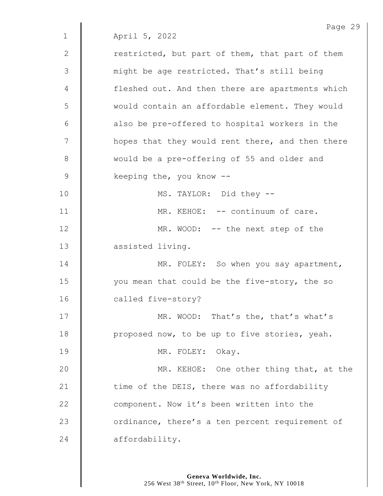Page 29 1 April 5, 2022  $2 \parallel$  restricted, but part of them, that part of them 3 | might be age restricted. That's still being 4 | fleshed out. And then there are apartments which 5 would contain an affordable element. They would  $6$  | also be pre-offered to hospital workers in the 7 | hopes that they would rent there, and then there 8 Would be a pre-offering of 55 and older and 9 | keeping the, you know --10 || MS. TAYLOR: Did they --11 | MR. KEHOE: -- continuum of care. 12 | MR. WOOD: -- the next step of the 13 assisted living. 14 **MR. FOLEY:** So when you say apartment, 15 | vou mean that could be the five-story, the so 16 called five-story? 17 | MR. WOOD: That's the, that's what's 18 **proposed now, to be up to five stories, yeah.** 19 || MR. FOLEY: Okay. 20 **MR. KEHOE:** One other thing that, at the 21  $\parallel$  time of the DEIS, there was no affordability 22 **Component.** Now it's been written into the 23 **J** ordinance, there's a ten percent requirement of 24 affordability.

> **Geneva Worldwide, Inc.** 256 West 38<sup>th</sup> Street, 10<sup>th</sup> Floor, New York, NY 10018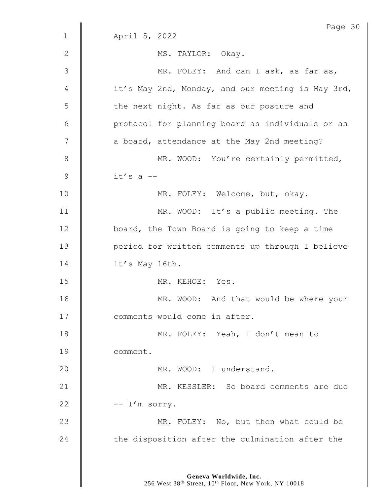|              | Page 30                                           |
|--------------|---------------------------------------------------|
| $\mathbf{1}$ | April 5, 2022                                     |
| $\mathbf{2}$ | MS. TAYLOR: Okay.                                 |
| 3            | MR. FOLEY: And can I ask, as far as,              |
| 4            | it's May 2nd, Monday, and our meeting is May 3rd, |
| 5            | the next night. As far as our posture and         |
| 6            | protocol for planning board as individuals or as  |
| 7            | a board, attendance at the May 2nd meeting?       |
| 8            | MR. WOOD: You're certainly permitted,             |
| 9            | $it's$ a $-$                                      |
| 10           | MR. FOLEY: Welcome, but, okay.                    |
| 11           | MR. WOOD: It's a public meeting. The              |
| 12           | board, the Town Board is going to keep a time     |
| 13           | period for written comments up through I believe  |
| 14           | it's May 16th.                                    |
| 15           | MR. KEHOE: Yes.                                   |
| 16           | MR. WOOD: And that would be where your            |
| 17           | comments would come in after.                     |
| 18           | MR. FOLEY: Yeah, I don't mean to                  |
| 19           | comment.                                          |
| 20           | MR. WOOD: I understand.                           |
| 21           | MR. KESSLER: So board comments are due            |
| 22           | -- I'm sorry.                                     |
| 23           | MR. FOLEY: No, but then what could be             |
| 24           | the disposition after the culmination after the   |
|              |                                                   |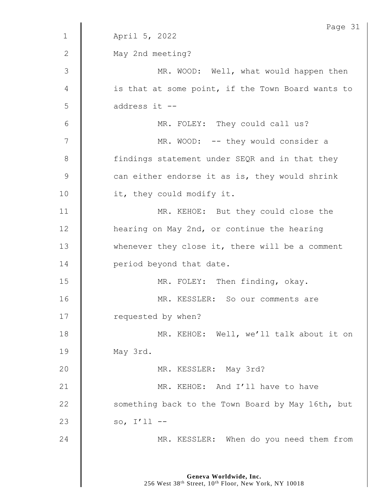|                | Page 31                                           |
|----------------|---------------------------------------------------|
| $\mathbf{1}$   | April 5, 2022                                     |
| $\mathbf{2}$   | May 2nd meeting?                                  |
| $\mathfrak{Z}$ | MR. WOOD: Well, what would happen then            |
| 4              | is that at some point, if the Town Board wants to |
| 5              | address it --                                     |
| 6              | MR. FOLEY: They could call us?                    |
| 7              | MR. WOOD: -- they would consider a                |
| $8\,$          | findings statement under SEQR and in that they    |
| $\mathsf 9$    | can either endorse it as is, they would shrink    |
| 10             | it, they could modify it.                         |
| 11             | MR. KEHOE: But they could close the               |
| 12             | hearing on May 2nd, or continue the hearing       |
| 13             | whenever they close it, there will be a comment   |
| 14             | period beyond that date.                          |
| 15             | MR. FOLEY: Then finding, okay.                    |
| 16             | MR. KESSLER: So our comments are                  |
| 17             | requested by when?                                |
| 18             | MR. KEHOE: Well, we'll talk about it on           |
| 19             | May 3rd.                                          |
| 20             | MR. KESSLER: May 3rd?                             |
| 21             | MR. KEHOE: And I'll have to have                  |
| 22             | something back to the Town Board by May 16th, but |
| 23             | so, $I'11$ --                                     |
| 24             | MR. KESSLER: When do you need them from           |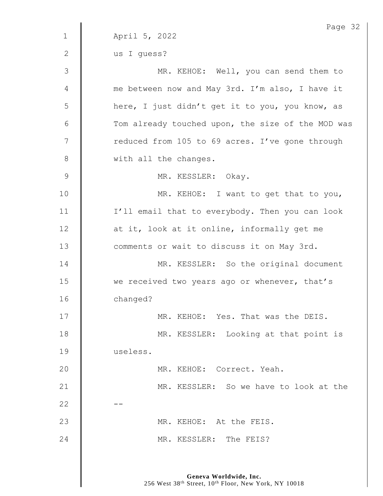|              | Page 32                                           |
|--------------|---------------------------------------------------|
| $\mathbf{1}$ | April 5, 2022                                     |
| 2            | us I guess?                                       |
| 3            | MR. KEHOE: Well, you can send them to             |
| 4            | me between now and May 3rd. I'm also, I have it   |
| 5            | here, I just didn't get it to you, you know, as   |
| 6            | Tom already touched upon, the size of the MOD was |
| 7            | reduced from 105 to 69 acres. I've gone through   |
| 8            | with all the changes.                             |
| $\mathsf 9$  | MR. KESSLER: Okay.                                |
| 10           | MR. KEHOE: I want to get that to you,             |
| 11           | I'll email that to everybody. Then you can look   |
| 12           | at it, look at it online, informally get me       |
| 13           | comments or wait to discuss it on May 3rd.        |
| 14           | MR. KESSLER: So the original document             |
| 15           | we received two years ago or whenever, that's     |
| 16           | changed?                                          |
| 17           | MR. KEHOE: Yes. That was the DEIS.                |
| 18           | MR. KESSLER: Looking at that point is             |
| 19           | useless.                                          |
| 20           | MR. KEHOE: Correct. Yeah.                         |
| 21           | MR. KESSLER: So we have to look at the            |
| 22           |                                                   |
| 23           | MR. KEHOE: At the FEIS.                           |
| 24           | MR. KESSLER: The FEIS?                            |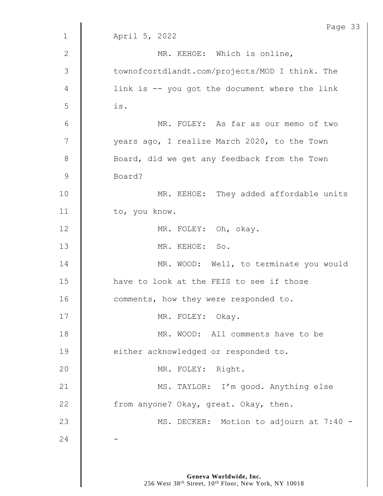|                | Page 33                                        |
|----------------|------------------------------------------------|
| $\mathbf 1$    | April 5, 2022                                  |
| 2              | MR. KEHOE: Which is online,                    |
| $\mathfrak{Z}$ | townofcortdlandt.com/projects/MOD I think. The |
| 4              | link is -- you got the document where the link |
| 5              | is.                                            |
| 6              | MR. FOLEY: As far as our memo of two           |
| $\overline{7}$ | years ago, I realize March 2020, to the Town   |
| $\,8\,$        | Board, did we get any feedback from the Town   |
| $\mathsf 9$    | Board?                                         |
| 10             | MR. KEHOE: They added affordable units         |
| 11             | to, you know.                                  |
| 12             | MR. FOLEY: Oh, okay.                           |
| 13             | MR. KEHOE: So.                                 |
| 14             | MR. WOOD: Well, to terminate you would         |
| 15             | have to look at the FEIS to see if those       |
| 16             | comments, how they were responded to.          |
| 17             | MR. FOLEY: Okay.                               |
| 18             | MR. WOOD: All comments have to be              |
| 19             | either acknowledged or responded to.           |
| 20             | MR. FOLEY: Right.                              |
| 21             | MS. TAYLOR: I'm good. Anything else            |
| 22             | from anyone? Okay, great. Okay, then.          |
|                |                                                |
| 23             | MS. DECKER: Motion to adjourn at 7:40 -        |
| 24             |                                                |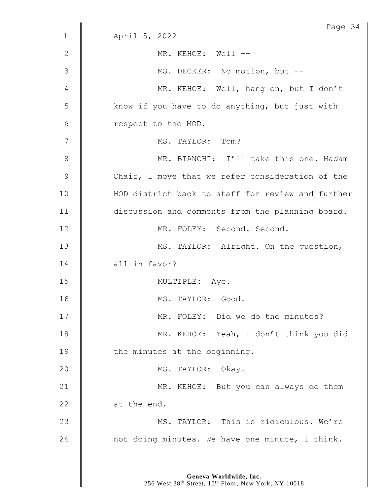|                | Page 34                                           |
|----------------|---------------------------------------------------|
| $\mathbf 1$    | April 5, 2022                                     |
| 2              | MR. KEHOE: Well --                                |
| $\mathfrak{Z}$ | MS. DECKER: No motion, but --                     |
| 4              | MR. KEHOE: Well, hang on, but I don't             |
| 5              | know if you have to do anything, but just with    |
| 6              | respect to the MOD.                               |
| 7              | MS. TAYLOR: Tom?                                  |
| 8              | MR. BIANCHI: I'll take this one. Madam            |
| $\mathsf 9$    | Chair, I move that we refer consideration of the  |
| 10             | MOD district back to staff for review and further |
| 11             | discussion and comments from the planning board.  |
| 12             | MR. FOLEY: Second. Second.                        |
| 13             | MS. TAYLOR: Alright. On the question,             |
| 14             | all in favor?                                     |
| 15             | MULTIPLE: Aye.                                    |
| 16             | MS.<br>TAYLOR: Good                               |
| 17             | MR. FOLEY: Did we do the minutes?                 |
| 18             | MR. KEHOE: Yeah, I don't think you did            |
| 19             | the minutes at the beginning.                     |
| 20             | MS. TAYLOR: Okay.                                 |
| 21             | MR. KEHOE: But you can always do them             |
| 22             | at the end.                                       |
| 23             | MS. TAYLOR: This is ridiculous. We're             |
| 24             | not doing minutes. We have one minute, I think.   |
|                |                                                   |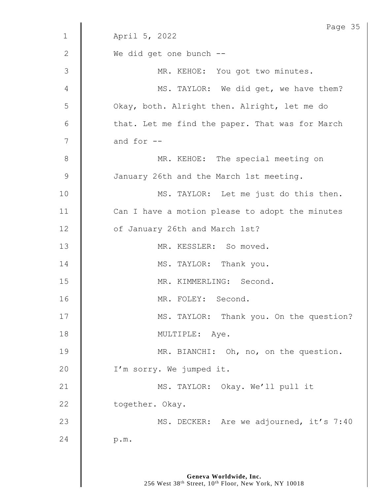|               | Page 35                                         |
|---------------|-------------------------------------------------|
| $\mathbf 1$   | April 5, 2022                                   |
| $\mathbf{2}$  | We did get one bunch --                         |
| 3             | MR. KEHOE: You got two minutes.                 |
| 4             | MS. TAYLOR: We did get, we have them?           |
| 5             | Okay, both. Alright then. Alright, let me do    |
| 6             | that. Let me find the paper. That was for March |
| 7             | and for --                                      |
| $8\,$         | MR. KEHOE: The special meeting on               |
| $\mathcal{G}$ | January 26th and the March 1st meeting.         |
| 10            | MS. TAYLOR: Let me just do this then.           |
| 11            | Can I have a motion please to adopt the minutes |
| 12            | of January 26th and March 1st?                  |
| 13            | MR. KESSLER: So moved.                          |
| 14            | MS. TAYLOR: Thank you.                          |
| 15            | MR. KIMMERLING: Second.                         |
| 16            | MR. FOLEY: Second.                              |
| 17            | MS. TAYLOR: Thank you. On the question?         |
| 18            | MULTIPLE: Aye.                                  |
| 19            | MR. BIANCHI: Oh, no, on the question.           |
| 20            | I'm sorry. We jumped it.                        |
| 21            | MS. TAYLOR: Okay. We'll pull it                 |
| 22            | together. Okay.                                 |
| 23            | MS. DECKER: Are we adjourned, it's 7:40         |
| 24            | p.m.                                            |
|               |                                                 |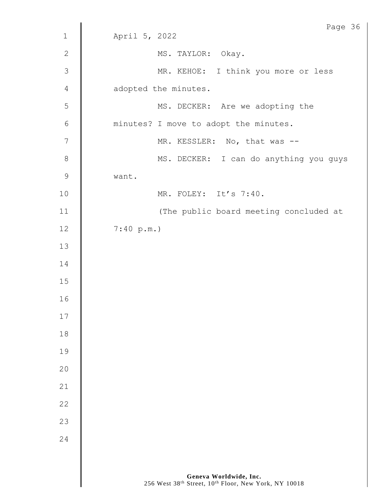|                | Page 36                                |
|----------------|----------------------------------------|
| $\mathbf{1}$   | April 5, 2022                          |
| $\mathbf{2}$   | MS. TAYLOR: Okay.                      |
| $\mathcal{S}$  | MR. KEHOE: I think you more or less    |
| $\overline{4}$ | adopted the minutes.                   |
| 5              | MS. DECKER: Are we adopting the        |
| $\sqrt{6}$     | minutes? I move to adopt the minutes.  |
| $\overline{7}$ | MR. KESSLER: No, that was --           |
| $\,8\,$        | MS. DECKER: I can do anything you guys |
| $\mathsf 9$    | want.                                  |
| 10             | MR. FOLEY: It's 7:40.                  |
| 11             | (The public board meeting concluded at |
| 12             | 7:40 p.m.                              |
| 13             |                                        |
| 14             |                                        |
| $15\,$         |                                        |
| 16             |                                        |
| 17             |                                        |
| 18             |                                        |
| 19             |                                        |
| 20             |                                        |
| 21             |                                        |
| 22             |                                        |
| 23             |                                        |
| 24             |                                        |
|                |                                        |